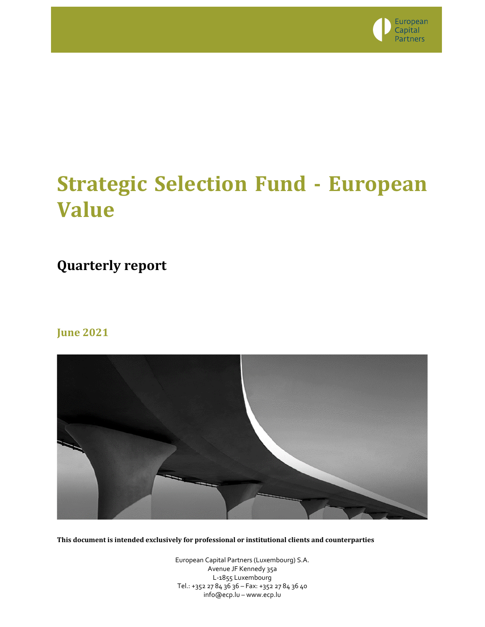

# **Strategic Selection Fund - European Value**

# **Quarterly report**

### **June 2021**



**This document is intended exclusively for professional or institutional clients and counterparties**

European Capital Partners (Luxembourg) S.A. Avenue JF Kennedy 35a L-1855 Luxembourg Tel.: +352 27 84 36 36 – Fax: +352 27 84 36 40 info@ecp.lu – www.ecp.lu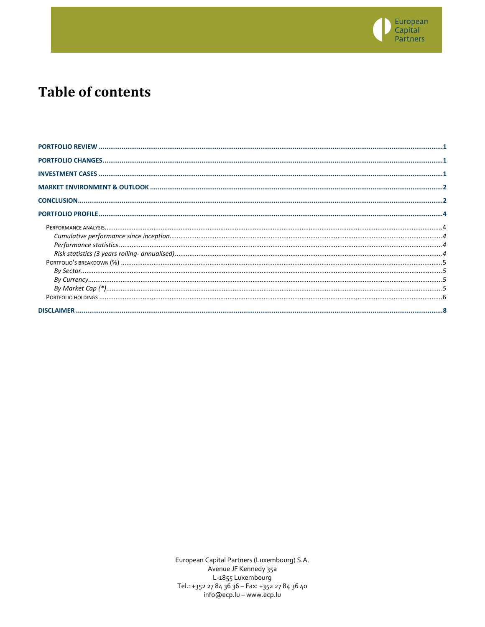

## **Table of contents**

European Capital Partners (Luxembourg) S.A. Avenue JF Kennedy 35a L-1855 Luxembourg Tel.: +352 27 84 36 36 - Fax: +352 27 84 36 40 info@ecp.lu - www.ecp.lu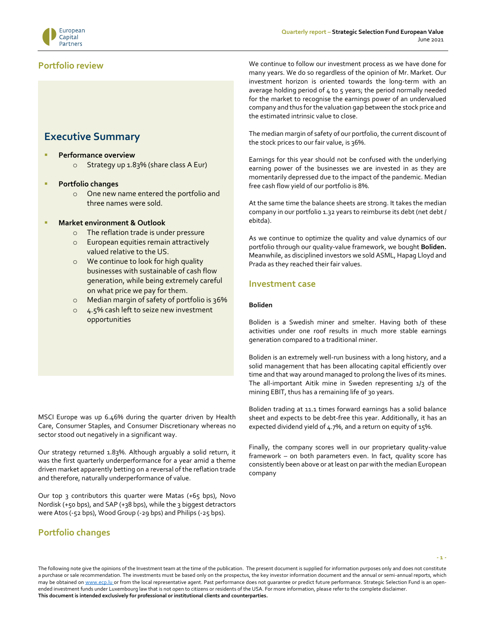

### <span id="page-2-0"></span>**Portfolio review**

### **Executive Summary**

**Performance overview** o Strategy up 1.83% (share class A Eur)

### ▪ **Portfolio changes**

o One new name entered the portfolio and three names were sold.

### **Market environment & Outlook**

- o The reflation trade is under pressure
- o European equities remain attractively valued relative to the US.
- o We continue to look for high quality businesses with sustainable of cash flow generation, while being extremely careful on what price we pay for them.
- o Median margin of safety of portfolio is 36%
- o 4.5% cash left to seize new investment opportunities

MSCI Europe was up 6.46% during the quarter driven by Health Care, Consumer Staples, and Consumer Discretionary whereas no sector stood out negatively in a significant way.

Our strategy returned 1.83%. Although arguably a solid return, it was the first quarterly underperformance for a year amid a theme driven market apparently betting on a reversal of the reflation trade and therefore, naturally underperformance of value.

Our top 3 contributors this quarter were Matas (+65 bps), Novo Nordisk (+50 bps), and SAP (+38 bps), while the 3 biggest detractors were Atos (-52 bps), Wood Group (-29 bps) and Philips (-25 bps).

### <span id="page-2-1"></span>**Portfolio changes**

We continue to follow our investment process as we have done for many years. We do so regardless of the opinion of Mr. Market. Our investment horizon is oriented towards the long-term with an average holding period of  $4$  to  $5$  years; the period normally needed for the market to recognise the earnings power of an undervalued company and thus for the valuation gap between the stock price and the estimated intrinsic value to close.

The median margin of safety of our portfolio, the current discount of the stock prices to our fair value, is 36%.

Earnings for this year should not be confused with the underlying earning power of the businesses we are invested in as they are momentarily depressed due to the impact of the pandemic. Median free cash flow yield of our portfolio is 8%.

At the same time the balance sheets are strong. It takes the median company in our portfolio 1.32 years to reimburse its debt (net debt / ebitda).

As we continue to optimize the quality and value dynamics of our portfolio through our quality-value framework, we bought **Boliden.** Meanwhile, as disciplined investors we sold ASML, Hapag Lloyd and Prada as they reached their fair values.

### <span id="page-2-2"></span>**Investment case**

### **Boliden**

Boliden is a Swedish miner and smelter. Having both of these activities under one roof results in much more stable earnings generation compared to a traditional miner.

Boliden is an extremely well-run business with a long history, and a solid management that has been allocating capital efficiently over time and that way around managed to prolong the lives of its mines. The all-important Aitik mine in Sweden representing 1/3 of the mining EBIT, thus has a remaining life of 30 years.

Boliden trading at 11.1 times forward earnings has a solid balance sheet and expects to be debt-free this year. Additionally, it has an expected dividend yield of 4.7%, and a return on equity of 15%.

Finally, the company scores well in our proprietary quality-value framework – on both parameters even. In fact, quality score has consistently been above or at least on par with the median European company

The following note give the opinions of the Investment team at the time of the publication. The present document is supplied for information purposes only and does not constitute a purchase or sale recommendation. The investments must be based only on the prospectus, the key investor information document and the annual or semi-annual reports, which may be obtained o[n www.ecp.lu](http://www.conventum.lu/) or from the local representative agent. Past performance does not guarantee or predict future performance. Strategic Selection Fund is an openended investment funds under Luxembourg law that is not open to citizens or residents of the USA. For more information, please refer to the complete disclaimer. **This document is intended exclusively for professional or institutional clients and counterparties.**

**- 1 -**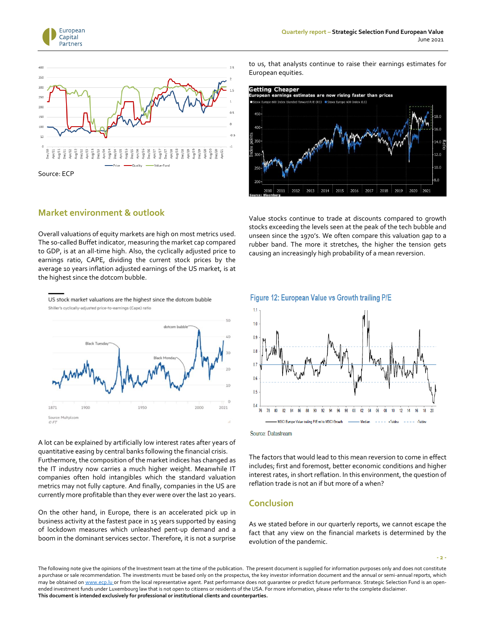



### <span id="page-3-0"></span>**Market environment & outlook**

Overall valuations of equity markets are high on most metrics used. The so-called Buffet indicator, measuring the market cap compared to GDP, is at an all-time high. Also, the cyclically adjusted price to earnings ratio, CAPE, dividing the current stock prices by the average 10 years inflation adjusted earnings of the US market, is at the highest since the dotcom bubble.



A lot can be explained by artificially low interest rates after years of quantitative easing by central banks following the financial crisis. Furthermore, the composition of the market indices has changed as the IT industry now carries a much higher weight. Meanwhile IT companies often hold intangibles which the standard valuation metrics may not fully capture. And finally, companies in the US are currently more profitable than they ever were over the last 20 years.

On the other hand, in Europe, there is an accelerated pick up in business activity at the fastest pace in 15 years supported by easing of lockdown measures which unleashed pent-up demand and a boom in the dominant services sector. Therefore, it is not a surprise

to us, that analysts continue to raise their earnings estimates for European [equities.](https://www.linkedin.com/feed/hashtag/?keywords=equities&highlightedUpdateUrns=urn%3Ali%3Aactivity%3A6820374538702876672)



Value stocks continue to trade at discounts compared to growth stocks exceeding the levels seen at the peak of the tech bubble and unseen since the 1970's. We often compare this valuation gap to a rubber band. The more it stretches, the higher the tension gets causing an increasingly high probability of a mean reversion.



#### Figure 12: European Value vs Growth trailing P/E

Source: Datastream

The factors that would lead to this mean reversion to come in effect includes; first and foremost, better economic conditions and higher interest rates, in short reflation. In this environment, the question of reflation trade is not an if but more of a when?

### <span id="page-3-1"></span>**Conclusion**

As we stated before in our quarterly reports, we cannot escape the fact that any view on the financial markets is determined by the evolution of the pandemic.

**- 2 -**

The following note give the opinions of the Investment team at the time of the publication. The present document is supplied for information purposes only and does not constitute a purchase or sale recommendation. The investments must be based only on the prospectus, the key investor information document and the annual or semi-annual reports, which may be obtained o[n www.ecp.lu](http://www.conventum.lu/) or from the local representative agent. Past performance does not guarantee or predict future performance. Strategic Selection Fund is an openended investment funds under Luxembourg law that is not open to citizens or residents of the USA. For more information, please refer to the complete disclaimer. **This document is intended exclusively for professional or institutional clients and counterparties.**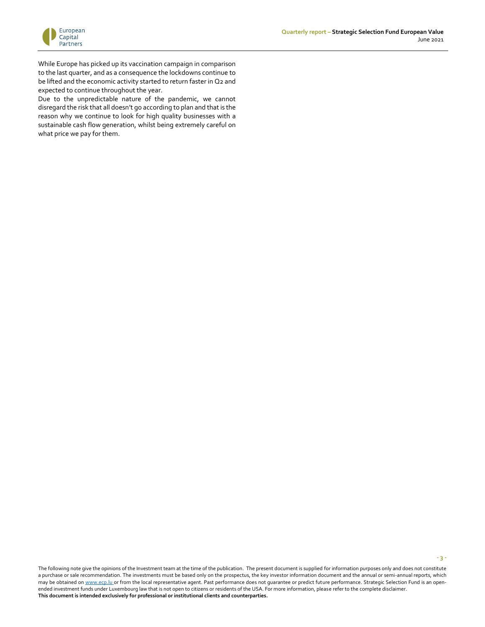**- 3 -**



While Europe has picked up its vaccination campaign in comparison to the last quarter, and as a consequence the lockdowns continue to be lifted and the economic activity started to return faster in Q2 and expected to continue throughout the year.

Due to the unpredictable nature of the pandemic, we cannot disregard the risk that all doesn't go according to plan and that is the reason why we continue to look for high quality businesses with a sustainable cash flow generation, whilst being extremely careful on what price we pay for them.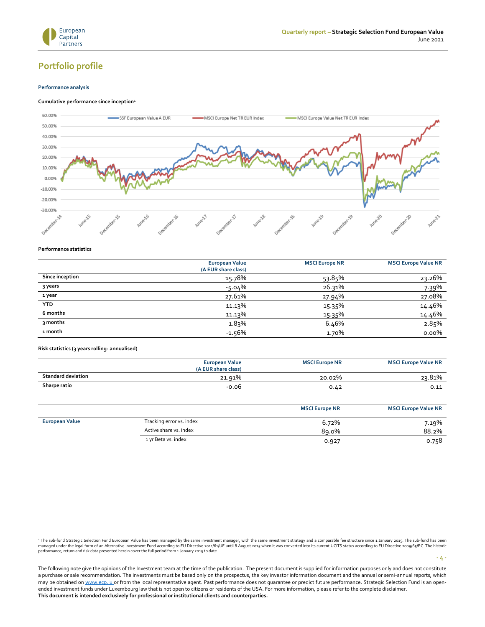

**- 4 -**

### <span id="page-5-0"></span>**Portfolio profile**

#### <span id="page-5-1"></span>**Performance analysis**

#### <span id="page-5-2"></span>**Cumulative performance since inception<sup>1</sup>**



#### <span id="page-5-3"></span>**Performance statistics**

|                 | <b>European Value</b><br>(A EUR share class) | <b>MSCI Europe NR</b> | <b>MSCI Europe Value NR</b> |
|-----------------|----------------------------------------------|-----------------------|-----------------------------|
| Since inception | 15.78%                                       | 53.85%                | 23.26%                      |
| 3 years         | $-5.04%$                                     | 26.31%                | 7.39%                       |
| 1 year          | 27.61%                                       | 27.94%                | 27.08%                      |
| <b>YTD</b>      | 11.13%                                       | 15.35%                | 14.46%                      |
| 6 months        | 11.13%                                       | 15.35%                | 14.46%                      |
| 3 months        | 1.83%                                        | 6.46%                 | 2.85%                       |
| 1 month         | $-1.56%$                                     | 1.70%                 | $0.00\%$                    |

<span id="page-5-4"></span>**Risk statistics (3 years rolling- annualised)**

|                           | <b>European Value</b><br>(A EUR share class) | <b>MSCI Europe NR</b> | <b>MSCI Europe Value NR</b> |
|---------------------------|----------------------------------------------|-----------------------|-----------------------------|
| <b>Standard deviation</b> | 21.91%                                       | 20.02%                | 23.81%                      |
| Sharpe ratio              | -0.06                                        | 0.42                  | 0.11                        |

|                       |                          | <b>MSCI Europe NR</b> | <b>MSCI Europe Value NR</b> |
|-----------------------|--------------------------|-----------------------|-----------------------------|
| <b>European Value</b> | Tracking error vs. index | 6.72%                 | 7.19%                       |
|                       | Active share vs. index   | 89.0%                 | 88.2%                       |
|                       | 1 yr Beta vs. index      | 0.927                 | 0.758                       |

<sup>\*</sup> The sub-fund Strategic Selection Fund European Value has been managed by the same investment manager, with the same investment strategy and a comparable fee structure since 1 January 2015. The sub-fund has been<br>managed u

The following note give the opinions of the Investment team at the time of the publication. The present document is supplied for information purposes only and does not constitute a purchase or sale recommendation. The investments must be based only on the prospectus, the key investor information document and the annual or semi-annual reports, which may be obtained o[n www.ecp.lu](http://www.conventum.lu/) or from the local representative agent. Past performance does not guarantee or predict future performance. Strategic Selection Fund is an openended investment funds under Luxembourg law that is not open to citizens or residents of the USA. For more information, please refer to the complete disclaimer. **This document is intended exclusively for professional or institutional clients and counterparties.**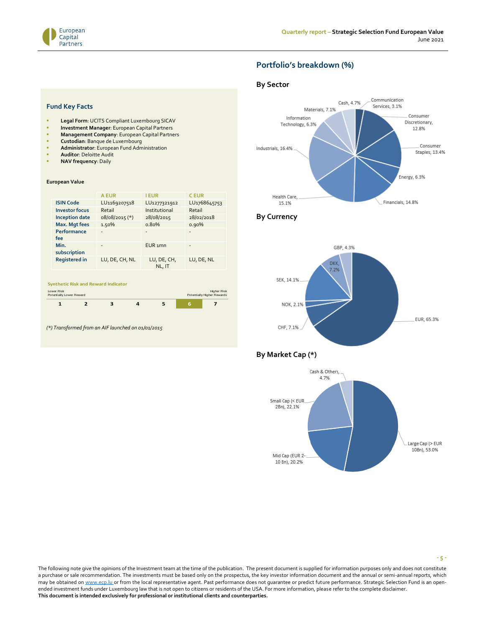<span id="page-6-0"></span>

### **Portfolio's breakdown (%)**

### <span id="page-6-1"></span>**By Sector**



### <span id="page-6-2"></span>**By Currency**



### <span id="page-6-3"></span>**By Market Cap (\*)**



#### **Fund Key Facts**

- **Legal Form: UCITS Compliant Luxembourg SICAV**
- **Investment Manager: European Capital Partners**
- **Management Company:** European Capital Partners
- **Custodian**: Banque de Luxembourg
- **Administrator:** European Fund Administration
- **Auditor: Deloitte Audit**
- **NAV frequency: Daily**

#### **European Value**

Lower Risk

|                                            | <b>A EUR</b>   | <b>I EUR</b>          | <b>CEUR</b>              |
|--------------------------------------------|----------------|-----------------------|--------------------------|
| <b>ISIN Code</b>                           | LU1169207518   | LU1277321912          | LU <sub>1768645753</sub> |
| <b>Investor focus</b>                      | Retail         | Institutional         | Retail                   |
| <b>Inception date</b>                      | 08/08/2015 (*) | 28/08/2015            | 28/02/2018               |
| Max. Mgt fees                              | 1.50%          | 0.80%                 | 0.90%                    |
| Performance<br>fee                         | ٠              | -                     | ٠                        |
| Min.<br>subscription                       |                | EUR <sub>1</sub> mn   |                          |
| <b>Registered in</b>                       | LU, DE, CH, NL | LU, DE, CH,<br>NL, IT | LU, DE, NL               |
| <b>Synthetic Risk and Reward Indicator</b> |                |                       |                          |

Higher Risk Potentially Higher Rewards



*(\*) Transformed from an AIF launched on 01/01/2015*

The following note give the opinions of the Investment team at the time of the publication. The present document is supplied for information purposes only and does not constitute a purchase or sale recommendation. The investments must be based only on the prospectus, the key investor information document and the annual or semi-annual reports, which may be obtained o[n www.ecp.lu](http://www.conventum.lu/) or from the local representative agent. Past performance does not guarantee or predict future performance. Strategic Selection Fund is an openended investment funds under Luxembourg law that is not open to citizens or residents of the USA. For more information, please refer to the complete disclaimer. **This document is intended exclusively for professional or institutional clients and counterparties.**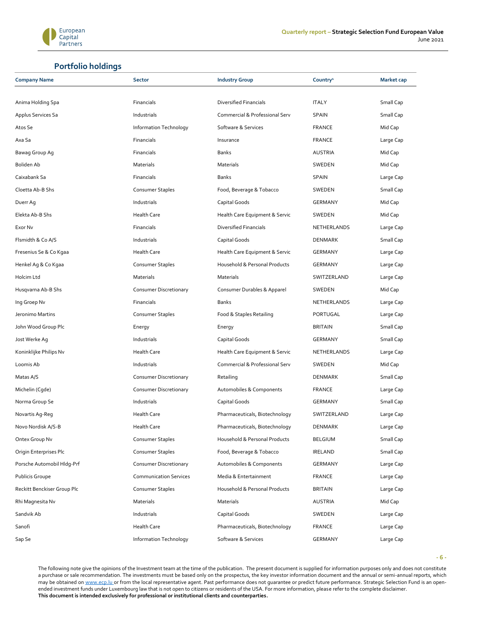

### **Portfolio holdings**

<span id="page-7-0"></span>

| <b>Company Name</b>         | <b>Sector</b>                 | <b>Industry Group</b>          | Country <sup>1</sup> | <b>Market cap</b> |
|-----------------------------|-------------------------------|--------------------------------|----------------------|-------------------|
|                             |                               |                                |                      |                   |
| Anima Holding Spa           | Financials                    | Diversified Financials         | <b>ITALY</b>         | Small Cap         |
| Applus Services Sa          | Industrials                   | Commercial & Professional Serv | SPAIN                | Small Cap         |
| Atos Se                     | Information Technology        | Software & Services            | <b>FRANCE</b>        | Mid Cap           |
| Axa Sa                      | Financials                    | Insurance                      | <b>FRANCE</b>        | Large Cap         |
| Bawag Group Ag              | Financials                    | Banks                          | AUSTRIA              | Mid Cap           |
| Boliden Ab                  | Materials                     | Materials                      | SWEDEN               | Mid Cap           |
| Caixabank Sa                | Financials                    | <b>Banks</b>                   | SPAIN                | Large Cap         |
| Cloetta Ab-B Shs            | Consumer Staples              | Food, Beverage & Tobacco       | SWEDEN               | Small Cap         |
| Duerr Ag                    | Industrials                   | Capital Goods                  | GERMANY              | Mid Cap           |
| Elekta Ab-B Shs             | <b>Health Care</b>            | Health Care Equipment & Servic | SWEDEN               | Mid Cap           |
| Exor Nv                     | Financials                    | <b>Diversified Financials</b>  | NETHERLANDS          | Large Cap         |
| Flsmidth & Co A/S           | Industrials                   | Capital Goods                  | DENMARK              | Small Cap         |
| Fresenius Se & Co Kgaa      | <b>Health Care</b>            | Health Care Equipment & Servic | GERMANY              | Large Cap         |
| Henkel Ag & Co Kgaa         | Consumer Staples              | Household & Personal Products  | GERMANY              | Large Cap         |
| Holcim Ltd                  | Materials                     | <b>Materials</b>               | SWITZERLAND          | Large Cap         |
| Husqvarna Ab-B Shs          | Consumer Discretionary        | Consumer Durables & Apparel    | SWEDEN               | Mid Cap           |
| Ing Groep Nv                | Financials                    | <b>Banks</b>                   | NETHERLANDS          | Large Cap         |
| Jeronimo Martins            | Consumer Staples              | Food & Staples Retailing       | PORTUGAL             | Large Cap         |
| John Wood Group Plc         | Energy                        | Energy                         | <b>BRITAIN</b>       | Small Cap         |
| Jost Werke Ag               | Industrials                   | Capital Goods                  | GERMANY              | Small Cap         |
| Koninklijke Philips Nv      | <b>Health Care</b>            | Health Care Equipment & Servic | NETHERLANDS          | Large Cap         |
| Loomis Ab                   | Industrials                   | Commercial & Professional Serv | SWEDEN               | Mid Cap           |
| Matas A/S                   | Consumer Discretionary        | Retailing                      | <b>DENMARK</b>       | Small Cap         |
| Michelin (Cgde)             | <b>Consumer Discretionary</b> | Automobiles & Components       | <b>FRANCE</b>        | Large Cap         |
| Norma Group Se              | Industrials                   | Capital Goods                  | <b>GERMANY</b>       | Small Cap         |
| Novartis Ag-Reg             | <b>Health Care</b>            | Pharmaceuticals, Biotechnology | SWITZERLAND          | Large Cap         |
| Novo Nordisk A/S-B          | <b>Health Care</b>            | Pharmaceuticals, Biotechnology | <b>DENMARK</b>       | Large Cap         |
| Ontex Group Nv              | Consumer Staples              | Household & Personal Products  | <b>BELGIUM</b>       | Small Cap         |
| Origin Enterprises Plc      | Consumer Staples              | Food, Beverage & Tobacco       | IRELAND              | Small Cap         |
| Porsche Automobil Hldg-Prf  | Consumer Discretionary        | Automobiles & Components       | GERMANY              | Large Cap         |
| Publicis Groupe             | <b>Communication Services</b> | Media & Entertainment          | <b>FRANCE</b>        | Large Cap         |
| Reckitt Benckiser Group Plc | Consumer Staples              | Household & Personal Products  | <b>BRITAIN</b>       | Large Cap         |
| Rhi Magnesita Nv            | Materials                     | Materials                      | AUSTRIA              | Mid Cap           |
| Sandvik Ab                  | Industrials                   | Capital Goods                  | SWEDEN               | Large Cap         |
| Sanofi                      | <b>Health Care</b>            | Pharmaceuticals, Biotechnology | <b>FRANCE</b>        | Large Cap         |
| Sap Se                      | Information Technology        | Software & Services            | GERMANY              | Large Cap         |

The following note give the opinions of the Investment team at the time of the publication. The present document is supplied for information purposes only and does not constitute a purchase or sale recommendation. The investments must be based only on the prospectus, the key investor information document and the annual or semi-annual reports, which may be obtained o[n www.ecp.lu](http://www.conventum.lu/) or from the local representative agent. Past performance does not guarantee or predict future performance. Strategic Selection Fund is an openended investment funds under Luxembourg law that is not open to citizens or residents of the USA. For more information, please refer to the complete disclaimer. **This document is intended exclusively for professional or institutional clients and counterparties.**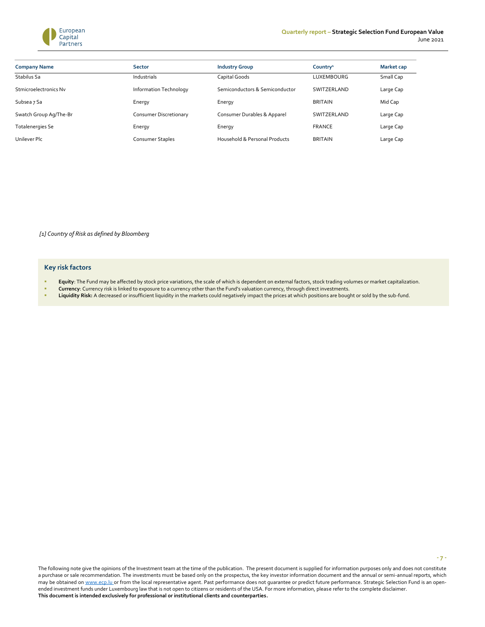

| <b>Company Name</b>     | <b>Sector</b>          | <b>Industry Group</b>          | Country <sup>1</sup> | <b>Market cap</b> |
|-------------------------|------------------------|--------------------------------|----------------------|-------------------|
| Stabilus Sa             | Industrials            | Capital Goods                  | <b>LUXEMBOURG</b>    | Small Cap         |
| Stmicroelectronics Nv   | Information Technology | Semiconductors & Semiconductor | SWITZERLAND          | Large Cap         |
| Subsea 7 Sa             | Energy                 | Energy                         | <b>BRITAIN</b>       | Mid Cap           |
| Swatch Group Ag/The-Br  | Consumer Discretionary | Consumer Durables & Apparel    | SWITZERLAND          | Large Cap         |
| <b>Totalenergies Se</b> | Energy                 | Energy                         | <b>FRANCE</b>        | Large Cap         |
| Unilever Plc            | Consumer Staples       | Household & Personal Products  | <b>BRITAIN</b>       | Large Cap         |

*[1] Country of Risk as defined by Bloomberg*

#### **Key risk factors**

- Equity: The Fund may be affected by stock price variations, the scale of which is dependent on external factors, stock trading volumes or market capitalization.
- **Currency**: Currency risk is linked to exposure to a currency other than the Fund's valuation currency, through direct investments.
- Liquidity Risk: A decreased or insufficient liquidity in the markets could negatively impact the prices at which positions are bought or sold by the sub-fund.